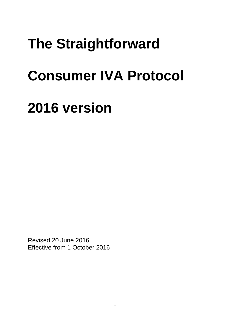# **The Straightforward**

# **Consumer IVA Protocol**

# **2016 version**

Revised 20 June 2016 Effective from 1 October 2016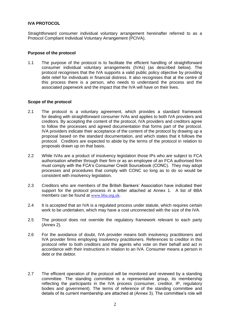## **IVA PROTOCOL**

Straightforward consumer individual voluntary arrangement hereinafter referred to as a Protocol Compliant Individual Voluntary Arrangement (PCIVA).

#### **Purpose of the protocol**

1.1 The purpose of the protocol is to facilitate the efficient handling of straightforward consumer individual voluntary arrangements (IVAs) (as described below). The protocol recognises that the IVA supports a valid public policy objective by providing debt relief for individuals in financial distress. It also recognises that at the centre of this process there is a person, who needs to understand the process and the associated paperwork and the impact that the IVA will have on their lives.

#### **Scope of the protocol**

- 2.1 The protocol is a voluntary agreement, which provides a standard framework for dealing with straightforward consumer IVAs and applies to both IVA providers and creditors. By accepting the content of the protocol, IVA providers and creditors agree to follow the processes and agreed documentation that forms part of the protocol. IVA providers indicate their acceptance of the content of the protocol by drawing up a proposal based on the standard documentation, and which states that it follows the protocol. Creditors are expected to abide by the terms of the protocol in relation to proposals drawn up on that basis.
- 2.2 While IVAs are a product of insolvency legislation those IPs who are subject to FCA authorisation whether through their firm or as an employee of an FCA authorised firm must comply with the FCA's Consumer Credit Sourcebook (CONC). They may adopt processes and procedures that comply with CONC so long as to do so would be consistent with insolvency legislation.
- 2.3 Creditors who are members of the British Bankers' Association have indicated their support for the protocol process in a letter attached at Annex 1. A list of BBA members can be found at [www.bba.org.uk](http://www.bba.org.uk/).
- 2.4 It is accepted that an IVA is a regulated process under statute, which requires certain work to be undertaken, which may have a cost unconnected with the size of the IVA.
- 2.5 The protocol does not override the regulatory framework relevant to each party (Annex 2).
- 2.6 For the avoidance of doubt, IVA provider means both insolvency practitioners and IVA provider firms employing insolvency practitioners. References to creditor in this protocol refer to both creditors and the agents who vote on their behalf and act in accordance with their instructions in relation to an IVA. Consumer means a person in debt or the debtor.
- 2.7 The efficient operation of the protocol will be monitored and reviewed by a standing committee. The standing committee is a representative group, its membership reflecting the participants in the IVA process (consumer, creditor, IP, regulatory bodies and government). The terms of reference of the standing committee and details of its current membership are attached at (Annex 3). The committee's role will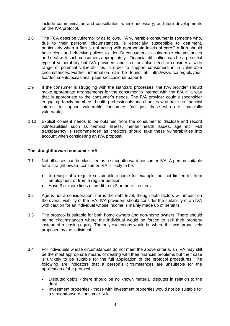include communication and consultation, where necessary, on future developments on the IVA protocol.

- 2.8 The FCA describe vulnerability as follows. "A vulnerable consumer is someone who, due to their personal circumstances, is especially susceptible to detriment, particularly when a firm is not acting with appropriate levels of care." A firm should have clear and effective polices to identify consumers in vulnerable circumstances and deal with such consumers appropriately. Financial difficulties can be a potential type of vulnerability but IVA providers and creditors also need to consider a wide range of potential vulnerabilities in order to support consumers in in vulnerable circumstances. Further information can be found at: http://www.fca.org.uk/yourfca/documents/occasional-papers/occasional-paper-8.
- 2.9 If the consumer is struggling with the standard processes, the IVA provider should make appropriate arrangements for the consumer to interact with the IVA in a way that is appropriate to the consumer's needs. The IVA provider could alsoconsider engaging family members, health professionals and charities who have no financial interest to support vulnerable consumers (not just those who are financially vulnerable).
- 2.10 Explicit consent needs to be obtained from the consumer to disclose and record vulnerabilities such as terminal illness, mental health issues, age etc. Full transparency is recommended as creditors should take these vulnerabilities into account when considering an IVA proposal.

#### **The straightforward consumer IVA**

- 3.1 Not all cases can be classified as a straightforward consumer IVA. A person suitable for a straightforward consumer IVA is likely to be:
	- In receipt of a regular sustainable income for example, but not limited to, from employment or from a regular pension.
	- Have 3 or more lines of credit from 2 or more creditors.
- 3.2 Age is not a consideration, nor is the debt level, though both factors will impact on the overall viability of the IVA. IVA providers should consider the suitability of an IVA with caution for an individual whose income is mainly made up of benefits.
- 3.3 The protocol is suitable for both home owners and non-home owners. There should be no circumstances where the individual would be forced to sell their property instead of releasing equity. The only exceptions would be where this was proactively proposed by the individual.
- 3.4 For individuals whose circumstances do not meet the above criteria, an IVA may still be the most appropriate means of dealing with their financial problems but their case is unlikely to be suitable for the full application of the protocol procedures. The following are indicators that a person's circumstances are unsuitable for the application of the protocol.
	- Disputed debts there should be no known material disputes in relation to the debt.
	- Investment properties those with investment properties would not be suitable for a straightforward consumer IVA.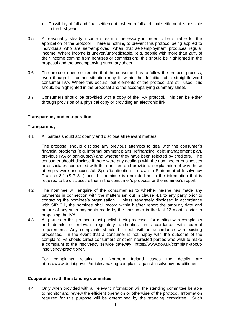- Possibility of full and final settlement where a full and final settlement is possible in the first year.
- 3.5 A reasonably steady income stream is necessary in order to be suitable for the application of the protocol. There is nothing to prevent this protocol being applied to individuals who are self-employed, when that self-employment produces regular income. Where income is uneven/unpredictable, (e.g. people with more than 20% of their income coming from bonuses or commission), this should be highlighted in the proposal and the accompanying summary sheet.
- 3.6 The protocol does not require that the consumer has to follow the protocol process, even though his or her situation may fit within the definition of a straightforward consumer IVA. Where this occurs, but elements of the protocol are still used, this should be highlighted in the proposal and the accompanying summary sheet.
- 3.7 Consumers should be provided with a copy of the IVA protocol. This can be either through provision of a physical copy or providing an electronic link.

### **Transparency and co-operation**

#### **Transparency**

4.1 All parties should act openly and disclose all relevant matters.

The proposal should disclose any previous attempts to deal with the consumer's financial problems (e.g. informal payment plans, refinancing, debt management plan, previous IVA or bankruptcy) and whether they have been rejected by creditors. The consumer should disclose if there were any dealings with the nominee or businesses or associates connected with the nominee and provide an explanation of why these attempts were unsuccessful. Specific attention is drawn to Statement of Insolvency Practice 3.1 (SIP 3.1) and the nominee is reminded as to the information that is required to be disclosed either in the consumer's proposal or the nominee's report.

- 4.2 The nominee will enquire of the consumer as to whether he/she has made any payments in connection with the matters set out in clause 4.1 to any party prior to contacting the nominee's organisation. Unless separately disclosed in accordance with SIP 3.1, the nominee shall record within his/her report the amount, date and nature of any such payments made by the consumer in the last 12 months prior to proposing the IVA.
- 4.3 All parties to this protocol must publish their processes for dealing with complaints and details of relevant regulatory authorities, in accordance with current requirements. Any complaints should be dealt with in accordance with existing processes. In the event that a consumer is not happy with the outcome of the complaint IPs should direct consumers or other interested parties who wish to make a complaint to the insolvency service gateway https:/[/www.gov.uk/complain-about](http://www.gov.uk/complain-about-insolvency-practitioner)[insolvency-practitioner.](http://www.gov.uk/complain-about-insolvency-practitioner)

For complaints relating to Northern Ireland cases the details are https://www.detini.gov.uk/articles/making-complaint-against-insolvency-practitioner.

#### **Cooperation with the standing committee**

4.4 Only when provided with all relevant information will the standing committee be able to monitor and review the efficient operation or otherwise of the protocol. Information required for this purpose will be determined by the standing committee. Such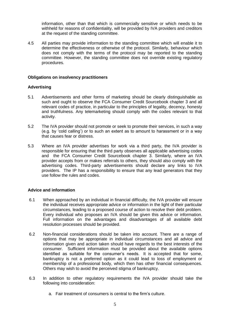information, other than that which is commercially sensitive or which needs to be withheld for reasons of confidentiality, will be provided by IVA providers and creditors at the request of the standing committee.

4.5 All parties may provide information to the standing committee which will enable it to determine the effectiveness or otherwise of the protocol. Similarly, behaviour which does not comply with the terms of the protocol may be reported to the standing committee. However, the standing committee does not override existing regulatory procedures.

#### **Obligations on insolvency practitioners**

#### **Advertising**

- 5.1 Advertisements and other forms of marketing should be clearly distinguishable as such and ought to observe the FCA Consumer Credit Sourcebook chapter 3 and all relevant codes of practice, in particular to the principles of legality, decency, honesty and truthfulness. Any telemarketing should comply with the codes relevant to that activity.
- 5.2 The IVA provider should not promote or seek to promote their services, in such a way (e.g. by 'cold calling') or to such an extent as to amount to harassment or in a way that causes fear or distress.
- 5.3 Where an IVA provider advertises for work via a third party, the IVA provider is responsible for ensuring that the third party observes all applicable advertising codes and the FCA Consumer Credit Sourcebook chapter 3. Similarly, where an IVA provider accepts from or makes referrals to others, they should also comply with the advertising codes. Third-party advertisements should declare any links to IVA providers. The IP has a responsibility to ensure that any lead generators that they use follow the rules and codes.

### **Advice and information**

- 6.1 When approached by an individual in financial difficulty, the IVA provider will ensure the individual receives appropriate advice or information in the light of their particular circumstances, leading to a proposed course of action to resolve their debt problem. Every individual who proposes an IVA should be given this advice or information. Full information on the advantages and disadvantages of all available debt resolution processes should be provided.
- 6.2 Non-financial considerations should be taken into account. There are a range of options that may be appropriate in individual circumstances and all advice and information given and action taken should have regards to the best interests of the consumer. Sufficient information must be provided about the available options identified as suitable for the consumer's needs. It is accepted that for some, bankruptcy is not a preferred option as it could lead to loss of employment or membership of a professional body, which then has other financial consequences. Others may wish to avoid the perceived stigma of bankruptcy.
- 6.3 In addition to other regulatory requirements the IVA provider should take the following into consideration:
	- a. Fair treatment of consumers is central to the firm's culture.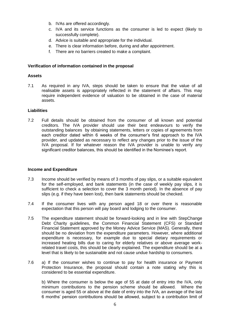- b. IVAs are offered accordingly.
- c. IVA and its service functions as the consumer is led to expect (likely to successfully complete).
- d. Advice is suitable and appropriate for the individual.
- e. There is clear information before, during and after appointment.
- f. There are no barriers created to make a complaint.

### **Verification of information contained in the proposal**

#### **Assets**

7.1 As required in any IVA, steps should be taken to ensure that the value of all realisable assets is appropriately reflected in the statement of affairs. This may require independent evidence of valuation to be obtained in the case of material assets.

#### **Liabilities**

7.2 Full details should be obtained from the consumer of all known and potential creditors. The IVA provider should use their best endeavours to verify the outstanding balances by obtaining statements, letters or copies of agreements from each creditor dated within 6 weeks of the consumer's first approach to the IVA provider, and updated as necessary to reflect any changes prior to the issue of the IVA proposal. If for whatever reason the IVA provider is unable to verify any significant creditor balances, this should be identified in the Nominee's report.

### **Income and Expenditure**

- 7.3 Income should be verified by means of 3 months of pay slips, or a suitable equivalent for the self-employed, and bank statements (in the case of weekly pay slips, it is sufficient to check a selection to cover the 3 month period). In the absence of pay slips (e.g. if they have been lost), then bank statements should be checked.
- 7.4 If the consumer lives with any person aged 18 or over there is reasonable expectation that this person will pay board and lodging to the consumer.
- 7.5 The expenditure statement should be forward-looking and in line with StepChange Debt Charity guidelines, the Common Financial Statement (CFS) or Standard Financial Statement approved by the Money Advice Service (MAS). Generally, there should be no deviation from the expenditure parameters. However, where additional expenditure is necessary, for example due to special dietary requirements or increased heating bills due to caring for elderly relatives or above average workrelated travel costs, this should be clearly explained. The expenditure should be at a level that is likely to be sustainable and not cause undue hardship to consumers.
- 7.6 a) If the consumer wishes to continue to pay for health insurance or Payment Protection Insurance, the proposal should contain a note stating why this is considered to be essential expenditure.

b) Where the consumer is below the age of 55 at date of entry into the IVA, only minimum contributions to the pension scheme should be allowed. Where the consumer is aged 55 or above at the date of entry into the IVA, an average of the last 6 months' pension contributions should be allowed, subject to a contribution limit of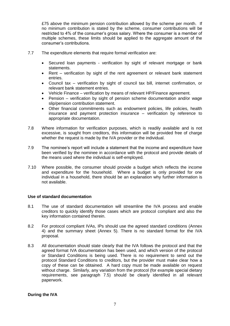£75 above the minimum pension contribution allowed by the scheme per month. If no minimum contribution is stated by the scheme, consumer contributions will be restricted to 4% of the consumer's gross salary. Where the consumer is a member of multiple schemes, these limits should be applied to the aggregate amount of the consumer's contributions.

- 7.7 The expenditure elements that require formal verification are:
	- Secured loan payments verification by sight of relevant mortgage or bank statements.
	- Rent verification by sight of the rent agreement or relevant bank statement entries.
	- Council tax verification by sight of council tax bill, internet confirmation, or relevant bank statement entries.
	- Vehicle Finance verification by means of relevant HP/Finance agreement.
	- Pension verification by sight of pension scheme documentation and/or wage slip/pension contribution statement.
	- Other financial commitments such as endowment policies, life policies, health insurance and payment protection insurance – verification by reference to appropriate documentation.
- 7.8 Where information for verification purposes, which is readily available and is not excessive, is sought from creditors, this information will be provided free of charge whether the request is made by the IVA provider or the individual.
- 7.9 The nominee's report will include a statement that the income and expenditure have been verified by the nominee in accordance with the protocol and provide details of the means used where the individual is self-employed.
- 7.10 Where possible, the consumer should provide a budget which reflects the income and expenditure for the household. Where a budget is only provided for one individual in a household, there should be an explanation why further information is not available.

### **Use of standard documentation**

- 8.1 The use of standard documentation will streamline the IVA process and enable creditors to quickly identify those cases which are protocol compliant and also the key information contained therein.
- 8.2 For protocol compliant IVAs, IPs should use the agreed standard conditions (Annex 4) and the summary sheet (Annex 5). There is no standard format for the IVA proposal.
- 8.3 All documentation should state clearly that the IVA follows the protocol and that the agreed format IVA documentation has been used, and which version of the protocol or Standard Conditions is being used. There is no requirement to send out the protocol Standard Conditions to creditors, but the provider must make clear how a copy of these can be obtained. A hard copy must be made available on request without charge. Similarly, any variation from the protocol (for example special dietary requirements, see paragraph 7.5) should be clearly identified in all relevant paperwork.

### **During the IVA**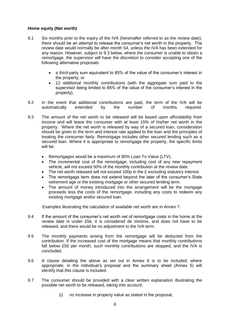### **Home equity (Net worth)**

- 9.1 Six months prior to the expiry of the IVA (hereinafter referred to as the review date); there should be an attempt to release the consumer's net worth in the property. The review date would normally be after month 54, unless the IVA has been extended for any reason. However, subject to 9.3 below, where the consumer is unable to obtain a remortgage, the supervisor will have the discretion to consider accepting one of the following alternative proposals:
	- a third-party sum equivalent to 85% of the value of the consumer's interest in the property; or
	- 12 additional monthly contributions (with the aggregate sum paid to the supervisor being limited to 85% of the value of the consumer's interest in the property).
- 9.2 In the event that additional contributions are paid, the term of the IVA will be automatically extended by the number of months required.
- 9.3 The amount of the net worth to be released will be based upon affordability from income and will leave the consumer with at least 15% of his/her net worth in the property. Where the net worth is released by way of a secured loan, consideration should be given to the term and interest rate applied to the loan and the principles of treating the consumer fairly. Remortgage includes other secured lending such as a secured loan. Where it is appropriate to remortgage the property, the specific limits will be:
	- Remortgages would be a maximum of 85% Loan To Value (LTV).
	- The incremental cost of the remortgage, including cost of any new repayment vehicle, will not exceed 50% of the monthly contribution at the review date.
	- The net worth released will not exceed 100p in the £ excluding statutory interest.
	- The remortgage term does not extend beyond the later of the consumer's State retirement age or the existing mortgage or other secured lending term.
	- The amount of money introduced into the arrangement will be the mortgage proceeds less the costs of the remortgage, including any costs to redeem any existing mortgage and/or secured loan.

Examples illustrating the calculation of available net worth are in Annex 7.

- 9.4 If the amount of the consumer's net worth net of remortgage costs in the home at the review date is under £5k, it is considered de minimis, and does not have to be released, and there would be no adjustment to the IVA term.
- 9.5 The monthly payments arising from the remortgage will be deducted from the contribution. If the increased cost of the mortgage means that monthly contributions fall below £50 per month, such monthly contributions are stopped, and the IVA is concluded.
- 9.6 A clause detailing the above as set out in Annex 6 is to be included, where appropriate, in the individual's proposal and the summary sheet (Annex 5) will identify that this clause is included.
- 9.7 The consumer should be provided with a clear written explanation illustrating the possible net worth to be released, taking into account:
	- (i) no increase in property value as stated in the proposal;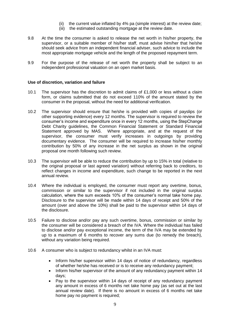- (ii) the current value inflated by 4% pa (simple interest) at the review date;
- (iii) the estimated outstanding mortgage at the review date.
- 9.8 At the time the consumer is asked to release the net worth in his/her property, the supervisor, or a suitable member of his/her staff, must advise him/her that he/she should seek advice from an independent financial adviser, such advice to include the most appropriate mortgage vehicle and the length of the proposed repayment term.
- 9.9 For the purpose of the release of net worth the property shall be subject to an independent professional valuation on an open market basis.

#### **Use of discretion, variation and failure**

- 10.1 The supervisor has the discretion to admit claims of £1,000 or less without a claim form, or claims submitted that do not exceed 110% of the amount stated by the consumer in the proposal, without the need for additional verification.
- 10.2 The supervisor should ensure that he/she is provided with copies of payslips (or other supporting evidence) every 12 months. The supervisor is required to review the consumer's income and expenditure once in every 12 months, using the StepChange Debt Charity guidelines, the Common Financial Statement or Standard Financial Statement approved by MAS. Where appropriate, and at the request of the supervisor, the consumer must verify increases in outgoings by providing documentary evidence. The consumer will be required to increase his/her monthly contribution by 50% of any increase in the net surplus as shown in the original proposal one month following such review.
- 10.3 The supervisor will be able to reduce the contribution by up to 15% in total (relative to the original proposal or last agreed variation) without referring back to creditors*,* to reflect changes in income and expenditure, such change to be reported in the next annual review.
- 10.4 Where the individual is employed, the consumer must report any overtime, bonus, commission or similar to the supervisor if not included in the original surplus calculation, where the sum exceeds 10% of the consumer's normal take home pay. Disclosure to the supervisor will be made within 14 days of receipt and 50% of the amount (over and above the 10%) shall be paid to the supervisor within 14 days of the disclosure.
- 10.5 Failure to disclose and/or pay any such overtime, bonus, commission or similar by the consumer will be considered a breach of the IVA. Where the individual has failed to disclose and/or pay exceptional income, the term of the IVA may be extended by up to a maximum of 6 months to recover any sums due (to remedy the breach), without any variation being required.
- 10.6 A consumer who is subject to redundancy whilst in an IVA must:
	- Inform his/her supervisor within 14 days of notice of redundancy, regardless of whether he/she has received or is to receive any redundancy payment;
	- Inform his/her supervisor of the amount of any redundancy payment within 14 days;
	- Pay to the supervisor within 14 days of receipt of any redundancy payment any amount in excess of 6 months net take home pay (as set out at the last annual review date). If there is no amount in excess of 6 months net take home pay no payment is required: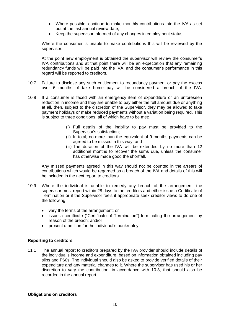- Where possible, continue to make monthly contributions into the IVA as set out at the last annual review date;
- Keep the supervisor informed of any changes in employment status.

Where the consumer is unable to make contributions this will be reviewed by the supervisor.

At the point new employment is obtained the supervisor will review the consumer's IVA contributions and at that point there will be an expectation that any remaining redundancy funds will be paid into the IVA, and the consumer's performance in this regard will be reported to creditors.

- 10.7 Failure to disclose any such entitlement to redundancy payment or pay the excess over 6 months of take home pay will be considered a breach of the IVA.
- 10.8 If a consumer is faced with an emergency item of expenditure or an unforeseen reduction in income and they are unable to pay either the full amount due or anything at all, then, subject to the discretion of the Supervisor, they may be allowed to take payment holidays or make reduced payments without a variation being required. This is subject to three conditions, all of which have to be met:
	- (i) Full details of the inability to pay must be provided to the Supervisor's satisfaction;
	- (ii) In total, no more than the equivalent of 9 months payments can be agreed to be missed in this way; and
	- (iii) The duration of the IVA will be extended by no more than 12 additional months to recover the sums due, unless the consumer has otherwise made good the shortfall.

Any missed payments agreed in this way should not be counted in the arrears of contributions which would be regarded as a breach of the IVA and details of this will be included in the next report to creditors.

- 10.9 Where the individual is unable to remedy any breach of the arrangement, the supervisor must report within 28 days to the creditors and either issue a Certificate of Termination or if the Supervisor feels it appropriate seek creditor views to do one of the following:
	- vary the terms of the arrangement; or
	- issue a certificate ("Certificate of Termination") terminating the arrangement by reason of the breach; and/or
	- present a petition for the individual's bankruptcy.

### **Reporting to creditors**

11.1 The annual report to creditors prepared by the IVA provider should include details of the individual's income and expenditure, based on information obtained including pay slips and P60s. The individual should also be asked to provide verified details of their expenditure and any material changes to it. Where the supervisor has used his or her discretion to vary the contribution, in accordance with 10.3, that should also be recorded in the annual report.

#### **Obligations on creditors**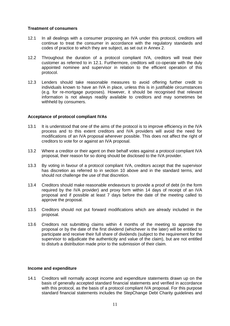#### **Treatment of consumers**

- 12.1 In all dealings with a consumer proposing an IVA under this protocol, creditors will continue to treat the consumer in accordance with the regulatory standards and codes of practice to which they are subject, as set out in Annex 2.
- 12.2 Throughout the duration of a protocol compliant IVA, creditors will treat their customer as referred to in 12.1. Furthermore, creditors will co-operate with the duly appointed nominee and supervisor in relation to the efficient operation of this protocol.
- 12.3 Lenders should take reasonable measures to avoid offering further credit to individuals known to have an IVA in place, unless this is in justifiable circumstances (e.g. for re-mortgage purposes). However, it should be recognised that relevant information is not always readily available to creditors and may sometimes be withheld by consumers.

### **Acceptance of protocol compliant IVAs**

- 13.1 It is understood that one of the aims of the protocol is to improve efficiency in the IVA process and to this extent creditors and IVA providers will avoid the need for modifications of an IVA proposal wherever possible. This does not affect the right of creditors to vote for or against an IVA proposal.
- 13.2 Where a creditor or their agent on their behalf votes against a protocol compliant IVA proposal, their reason for so doing should be disclosed to the IVA provider.
- 13.3 By voting in favour of a protocol compliant IVA, creditors accept that the supervisor has discretion as referred to in section 10 above and in the standard terms, and should not challenge the use of that discretion.
- 13.4 Creditors should make reasonable endeavours to provide a proof of debt (in the form required by the IVA provider) and proxy form within 14 days of receipt of an IVA proposal and if possible at least 7 days before the date of the meeting called to approve the proposal.
- 13.5 Creditors should not put forward modifications which are already included in the proposal.
- 13.6 Creditors not submitting claims within 4 months of the meeting to approve the proposal or by the date of the first dividend (whichever is the later) will be entitled to participate and receive their full share of dividends (subject to the requirement for the supervisor to adjudicate the authenticity and value of the claim), but are not entitled to disturb a distribution made prior to the submission of their claim.

#### **Income and expenditure**

14.1 Creditors will normally accept income and expenditure statements drawn up on the basis of generally accepted standard financial statements and verified in accordance with this protocol, as the basis of a protocol compliant IVA proposal. For this purpose standard financial statements includes the StepChange Debt Charity guidelines and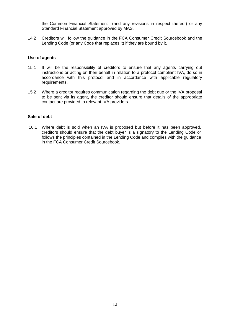the Common Financial Statement (and any revisions in respect thereof) or any Standard Financial Statement approved by MAS.

14.2 Creditors will follow the guidance in the FCA Consumer Credit Sourcebook and the Lending Code (or any Code that replaces it) if they are bound by it.

#### **Use of agents**

- 15.1 It will be the responsibility of creditors to ensure that any agents carrying out instructions or acting on their behalf in relation to a protocol compliant IVA, do so in accordance with this protocol and in accordance with applicable regulatory requirements.
- 15.2 Where a creditor requires communication regarding the debt due or the IVA proposal to be sent via its agent, the creditor should ensure that details of the appropriate contact are provided to relevant IVA providers.

#### **Sale of debt**

16.1 Where debt is sold when an IVA is proposed but before it has been approved, creditors should ensure that the debt buyer is a signatory to the Lending Code or follows the principles contained in the Lending Code and complies with the guidance in the FCA Consumer Credit Sourcebook.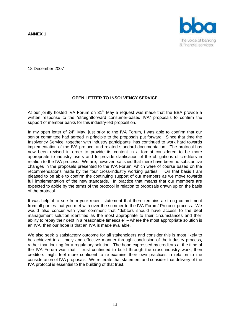**ANNEX 1**



18 December 2007

## **OPEN LETTER TO INSOLVENCY SERVICE**

At our iointly hosted IVA Forum on 31<sup>st</sup> May a request was made that the BBA provide a written response to the "straightforward consumer-based IVA" proposals to confirm the support of member banks for this industry-led proposition.

In my open letter of  $24<sup>th</sup>$  May, just prior to the IVA Forum, I was able to confirm that our senior committee had agreed in principle to the proposals put forward. Since that time the Insolvency Service, together with industry participants, has continued to work hard towards implementation of the IVA protocol and related standard documentation. The protocol has now been revised in order to provide its content in a format considered to be more appropriate to industry users and to provide clarification of the obligations of creditors in relation to the IVA process. We are, however, satisfied that there have been no substantive changes in the proposals presented to the IVA Forum, which were of course based on the recommendations made by the four cross-industry working parties. On that basis I am pleased to be able to confirm the continuing support of our members as we move towards full implementation of the new standards. In practice that means that our members are expected to abide by the terms of the protocol in relation to proposals drawn up on the basis of the protocol.

It was helpful to see from your recent statement that there remains a strong commitment from all parties that you met with over the summer to the IVA Forum/ Protocol process. We would also concur with your comment that "debtors should have access to the debt management solution identified as the most appropriate to their circumstances and their ability to repay their debt in a reasonable timescale" – where the most appropriate solution is an IVA, then our hope is that an IVA is made available.

We also seek a satisfactory outcome for all stakeholders and consider this is most likely to be achieved in a timely and effective manner through conclusion of the industry process, rather than looking for a regulatory solution. The hope expressed by creditors at the time of the IVA Forum was that if trust continued to build through the cross-industry work, then creditors might feel more confident to re-examine their own practices in relation to the consideration of IVA proposals. We reiterate that statement and consider that delivery of the IVA protocol is essential to the building of that trust.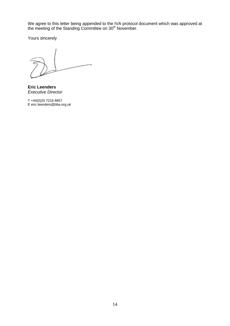We agree to this letter being appended to the IVA protocol document which was approved at the meeting of the Standing Committee on 30<sup>th</sup> November.

Yours sincerely

**Eric Leenders** *Executive Director*

T +44(0)20 7216 8857 E eric.leenders@bba.org.uk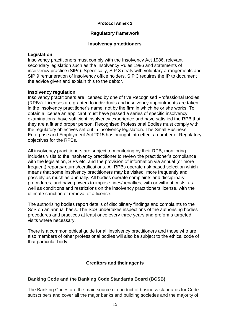## **Protocol Annex 2**

## **Regulatory framework**

## **Insolvency practitioners**

## **Legislation**

Insolvency practitioners must comply with the Insolvency Act 1986, relevant secondary legislation such as the Insolvency Rules 1986 and statements of insolvency practice (SIPs). Specifically, SIP 3 deals with voluntary arrangements and SIP 9 remuneration of insolvency office holders. SIP 3 requires the IP to document the advice given and explain this to the debtor.

## **Insolvency regulation**

Insolvency practitioners are licensed by one of five Recognised Professional Bodies (RPBs). Licenses are granted to individuals and insolvency appointments are taken in the insolvency practitioner's name, not by the firm in which he or she works. To obtain a license an applicant must have passed a series of specific insolvency examinations, have sufficient insolvency experience and have satisfied the RPB that they are a fit and proper person. Recognised Professional Bodies must comply with the regulatory objectives set out in insolvency legislation. The Small Business Enterprise and Employment Act 2015 has brought into effect a number of Regulatory objectives for the RPBs.

All insolvency practitioners are subject to monitoring by their RPB, monitoring includes visits to the insolvency practitioner to review the practitioner's compliance with the legislation, SIPs etc. and the provision of information via annual (or more frequent) reports/returns/certifications. All RPBs operate risk based selection which means that some insolvency practitioners may be visited more frequently and possibly as much as annually. All bodies operate complaints and disciplinary procedures, and have powers to impose fines/penalties, with or without costs, as well as conditions and restrictions on the insolvency practitioners license, with the ultimate sanction of removal of a license.

The authorising bodies report details of disciplinary findings and complaints to the SoS on an annual basis. The SoS undertakes inspections of the authorising bodies procedures and practices at least once every three years and preforms targeted visits where necessary.

There is a common ethical guide for all insolvency practitioners and those who are also members of other professional bodies will also be subject to the ethical code of that particular body.

## **Creditors and their agents**

## **Banking Code and the Banking Code Standards Board (BCSB)**

The Banking Codes are the main source of conduct of business standards for Code subscribers and cover all the major banks and building societies and the majority of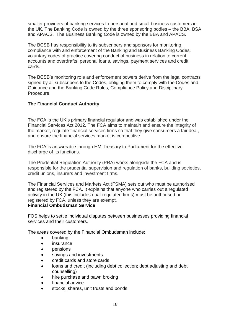smaller providers of banking services to personal and small business customers in the UK. The Banking Code is owned by the three sponsoring bodies – the BBA, BSA and APACS. The Business Banking Code is owned by the BBA and APACS.

The BCSB has responsibility to its subscribers and sponsors for monitoring compliance with and enforcement of the Banking and Business Banking Codes, voluntary codes of practice covering conduct of business in relation to current accounts and overdrafts, personal loans, savings, payment services and credit cards.

The BCSB's monitoring role and enforcement powers derive from the legal contracts signed by all subscribers to the Codes, obliging them to comply with the Codes and Guidance and the Banking Code Rules, Compliance Policy and Disciplinary Procedure.

## **The Financial Conduct Authority**

The FCA is the UK's primary financial regulator and was established under the Financial Services Act 2012. The FCA aims to maintain and ensure the integrity of the market, regulate financial services firms so that they give consumers a fair deal, and ensure the financial services market is competitive

The FCA is answerable through HM Treasury to Parliament for the effective discharge of its functions.

The Prudential Regulation Authority (PRA) works alongside the FCA and is responsible for the prudential supervision and regulation of banks, building societies, credit unions, insurers and investment firms.

The Financial Services and Markets Act (FSMA) sets out who must be authorised and registered by the FCA. It explains that anyone who carries out a regulated activity in the UK (this includes dual-regulated firms) must be authorised or registered by FCA, unless they are exempt.

## **Financial Ombudsman Service**

FOS helps to settle individual disputes between businesses providing financial services and their customers.

The areas covered by the Financial Ombudsman include:

- banking
- insurance
- pensions
- savings and investments
- credit cards and store cards
- loans and credit (including debt collection; debt adjusting and debt counselling)
- hire purchase and pawn broking
- financial advice
- stocks, shares, unit trusts and bonds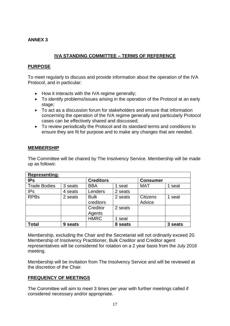## **ANNEX 3**

# **IVA STANDING COMMITTEE – TERMS OF REFERENCE**

## **PURPOSE**

To meet regularly to discuss and provide information about the operation of the IVA Protocol, and in particular:

- How it interacts with the IVA regime generally;
- To identify problems/issues arising in the operation of the Protocol at an early stage;
- To act as a discussion forum for stakeholders and ensure that information concerning the operation of the IVA regime generally and particularly Protocol cases can be effectively shared and discussed;
- To review periodically the Protocol and its standard terms and conditions to ensure they are fit for purpose and to make any changes that are needed.

## **MEMBERSHIP**

The Committee will be chaired by The Insolvency Service. Membership will be made up as follows:

| <b>Representing:</b> |            |                  |            |                 |         |
|----------------------|------------|------------------|------------|-----------------|---------|
| <b>IPs</b>           |            | <b>Creditors</b> |            | <b>Consumer</b> |         |
| <b>Trade Bodies</b>  | 3 seats    | <b>BBA</b>       | 1 seat     | <b>MAT</b>      | 1 seat  |
| <b>IPs</b>           | 4 seats    | Lenders          | 2 seats    |                 |         |
| <b>RPBs</b>          | 2 seats    | <b>Bulk</b>      | 2 seats    | <b>Citizens</b> | 1 seat  |
|                      |            | creditors        |            | Advice          |         |
|                      |            | Creditor         | 2 seats    |                 |         |
|                      |            | Agents           |            |                 |         |
|                      |            | <b>HMRC</b>      | 1 seat     |                 |         |
| <b>Total</b>         | seats<br>9 |                  | seats<br>8 |                 | 3 seats |

Membership, excluding the Chair and the Secretariat will not ordinarily exceed 20. Membership of Insolvency Practitioner, Bulk Creditor and Creditor agent representatives will be considered for rotation on a 2 year basis from the July 2016 meeting.

Membership will be invitation from The Insolvency Service and will be reviewed at the discretion of the Chair.

## **FREQUENCY OF MEETINGS**

The Committee will aim to meet 3 times per year with further meetings called if considered necessary and/or appropriate.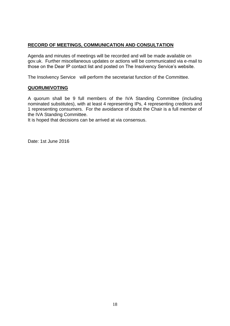## **RECORD OF MEETINGS, COMMUNICATION AND CONSULTATION**

Agenda and minutes of meetings will be recorded and will be made available on gov.uk. Further miscellaneous updates or actions will be communicated via e-mail to those on the Dear IP contact list and posted on The Insolvency Service's website.

The Insolvency Service will perform the secretariat function of the Committee.

## **QUORUM/VOTING**

A quorum shall be 9 full members of the IVA Standing Committee (including nominated substitutes), with at least 4 representing IPs, 4 representing creditors and 1 representing consumers. For the avoidance of doubt the Chair is a full member of the IVA Standing Committee.

It is hoped that decisions can be arrived at via consensus.

Date: 1st June 2016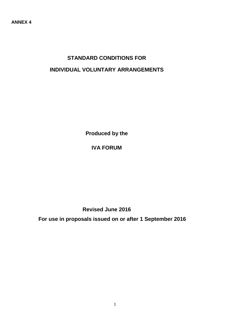# **STANDARD CONDITIONS FOR INDIVIDUAL VOLUNTARY ARRANGEMENTS**

**Produced by the**

# **IVA FORUM**

**Revised June 2016**

**For use in proposals issued on or after 1 September 2016**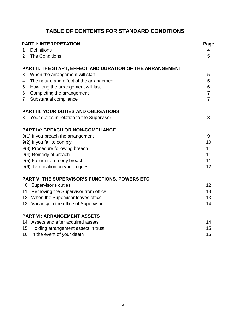# **TABLE OF CONTENTS FOR STANDARD CONDITIONS**

|                | <b>PART I: INTERPRETATION</b>                              |                |  |  |  |
|----------------|------------------------------------------------------------|----------------|--|--|--|
| 1              | <b>Definitions</b>                                         | 4              |  |  |  |
| 2              | <b>The Conditions</b>                                      | 5              |  |  |  |
|                | PART II: THE START, EFFECT AND DURATION OF THE ARRANGEMENT |                |  |  |  |
| 3              | When the arrangement will start                            | 5              |  |  |  |
| $\overline{4}$ | The nature and effect of the arrangement                   | 5              |  |  |  |
| 5              | How long the arrangement will last                         | 6              |  |  |  |
| 6              | Completing the arrangement                                 | $\overline{7}$ |  |  |  |
| $\overline{7}$ | Substantial compliance                                     | $\overline{7}$ |  |  |  |
|                | <b>PART III: YOUR DUTIES AND OBLIGATIONS</b>               |                |  |  |  |
| 8              | Your duties in relation to the Supervisor                  | 8              |  |  |  |
|                | <b>PART IV: BREACH OR NON-COMPLIANCE</b>                   |                |  |  |  |
|                | 9(1) If you breach the arrangement                         | 9              |  |  |  |
|                | 9(2) If you fail to comply                                 | 10             |  |  |  |
|                | 9(3) Procedure following breach                            | 11             |  |  |  |
|                | 9(4) Remedy of breach                                      | 11             |  |  |  |
|                | 9(5) Failure to remedy breach                              | 11             |  |  |  |
|                | 9(6) Termination on your request                           | 12             |  |  |  |
|                | PART V: THE SUPERVISOR'S FUNCTIONS, POWERS ETC             |                |  |  |  |
|                | 10 Supervisor's duties                                     | 12             |  |  |  |
| 11             | Removing the Supervisor from office                        | 13             |  |  |  |
|                | 12 When the Supervisor leaves office                       | 13             |  |  |  |
|                | 13 Vacancy in the office of Supervisor                     | 14             |  |  |  |
|                | <b>PART VI: ARRANGEMENT ASSETS</b>                         |                |  |  |  |
|                | 14 Assets and after acquired assets                        | 14             |  |  |  |
| 15             | Holding arrangement assets in trust                        | 15             |  |  |  |
|                | 16 In the event of your death                              | 15             |  |  |  |
|                |                                                            |                |  |  |  |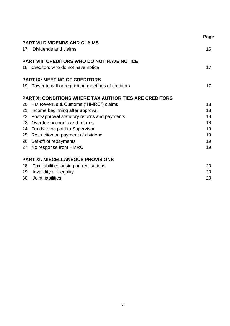|    |                                                               | Page |
|----|---------------------------------------------------------------|------|
|    | <b>PART VII DIVIDENDS AND CLAIMS</b>                          |      |
|    | 17 Dividends and claims                                       | 15   |
|    | <b>PART VIII: CREDITORS WHO DO NOT HAVE NOTICE</b>            |      |
|    | 18 Creditors who do not have notice                           | 17   |
|    | <b>PART IX: MEETING OF CREDITORS</b>                          |      |
|    | 19 Power to call or requisition meetings of creditors         | 17   |
|    | <b>PART X: CONDITIONS WHERE TAX AUTHORITIES ARE CREDITORS</b> |      |
|    | 20 HM Revenue & Customs ("HMRC") claims                       | 18   |
|    | 21 Income beginning after approval                            | 18   |
|    | 22 Post-approval statutory returns and payments               | 18   |
|    | 23 Overdue accounts and returns                               | 18   |
|    | 24 Funds to be paid to Supervisor                             | 19   |
|    | 25 Restriction on payment of dividend                         | 19   |
|    | 26 Set-off of repayments                                      | 19   |
|    | 27 No response from HMRC                                      | 19   |
|    | <b>PART XI: MISCELLANEOUS PROVISIONS</b>                      |      |
| 28 | Tax liabilities arising on realisations                       | 20   |
| 29 | Invalidity or illegality                                      | 20   |
| 30 | Joint liabilities                                             | 20   |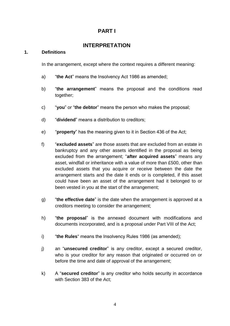# **PART I**

# **INTERPRETATION**

## **1. Definitions**

In the arrangement, except where the context requires a different meaning:

- a) "**the Act**" means the Insolvency Act 1986 as amended;
- b) "**the arrangement**" means the proposal and the conditions read together;
- c) "**you**" or "**the debtor**" means the person who makes the proposal;
- d) "**dividend**" means a distribution to creditors;
- e) "**property**" has the meaning given to it in Section 436 of the Act;
- f) "**excluded assets**" are those assets that are excluded from an estate in bankruptcy and any other assets identified in the proposal as being excluded from the arrangement; "**after acquired assets**" means any asset, windfall or inheritance with a value of more than £500, other than excluded assets that you acquire or receive between the date the arrangement starts and the date it ends or is completed, if this asset could have been an asset of the arrangement had it belonged to or been vested in you at the start of the arrangement;
- g) "**the effective date**" is the date when the arrangement is approved at a creditors meeting to consider the arrangement;
- h) "**the proposal**" is the annexed document with modifications and documents incorporated, and is a proposal under Part VIII of the Act;
- i) "**the Rules**" means the Insolvency Rules 1986 (as amended);
- j) an "**unsecured creditor**" is any creditor, except a secured creditor, who is your creditor for any reason that originated or occurred on or before the time and date of approval of the arrangement;
- k) A "**secured creditor**" is any creditor who holds security in accordance with Section 383 of the Act;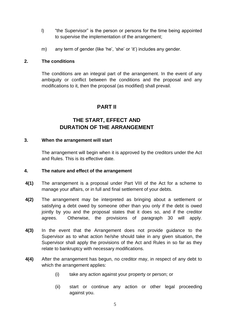- l) "the Supervisor" is the person or persons for the time being appointed to supervise the implementation of the arrangement;
- m) any term of gender (like 'he', 'she' or 'it') includes any gender.

## **2. The conditions**

The conditions are an integral part of the arrangement. In the event of any ambiguity or conflict between the conditions and the proposal and any modifications to it, then the proposal (as modified) shall prevail.

# **PART II**

# **THE START, EFFECT AND DURATION OF THE ARRANGEMENT**

## **3. When the arrangement will start**

The arrangement will begin when it is approved by the creditors under the Act and Rules. This is its effective date.

## **4. The nature and effect of the arrangement**

- **4(1)** The arrangement is a proposal under Part VIII of the Act for a scheme to manage your affairs, or in full and final settlement of your debts.
- **4(2)** The arrangement may be interpreted as bringing about a settlement or satisfying a debt owed by someone other than you only if the debt is owed jointly by you and the proposal states that it does so, and if the creditor agrees. Otherwise, the provisions of paragraph 30 will apply.
- **4(3)** In the event that the Arrangement does not provide guidance to the Supervisor as to what action he/she should take in any given situation, the Supervisor shall apply the provisions of the Act and Rules in so far as they relate to bankruptcy with necessary modifications.
- **4(4)** After the arrangement has begun, no creditor may, in respect of any debt to which the arrangement applies:
	- (i) take any action against your property or person; or
	- (ii) start or continue any action or other legal proceeding against you.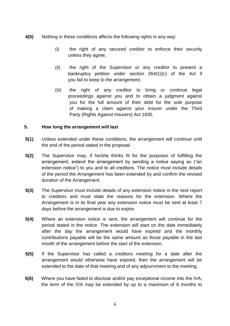- **4(5)** Nothing in these conditions affects the following rights in any way:
	- (i) the right of any secured creditor to enforce their security unless they agree;
	- (ii) the right of the Supervisor or any creditor to present a bankruptcy petition under section 264(1)(c) of the Act if you fail to keep to the arrangement;
	- (iii) the right of any creditor to bring or continue legal proceedings against you and to obtain a judgment against you for the full amount of their debt for the sole purpose of making a claim against your insurer under the Third Party (Rights Against Insurers) Act 1930.

## **5. How long the arrangement will last**

- **5(1)** Unless extended under these conditions, the arrangement will continue until the end of the period stated in the proposal.
- **5(2)** The Supervisor may, if he/she thinks fit for the purposes of fulfilling the arrangement, extend the arrangement by sending a notice saying so ("an extension notice") to you and to all creditors. The notice must include details of the period the Arrangement has been extended by and confirm the revised duration of the Arrangement.
- **5(3)** The Supervisor must include details of any extension notice in the next report to creditors and must state the reasons for the extension. Where the Arrangement is in its final year any extension notice must be sent at least 7 days before the arrangement is due to expire.
- **5(4)** Where an extension notice is sent, the arrangement will continue for the period stated in the notice. The extension will start on the date immediately after the day the arrangement would have expired and the monthly contributions payable will be the same amount as those payable in the last month of the arrangement before the start of the extension.
- **5(5)** If the Supervisor has called a creditors meeting for a date after the arrangement would otherwise have expired, then the arrangement will be extended to the date of that meeting and of any adjournment to the meeting.
- **5(6)** Where you have failed to disclose and/or pay exceptional income into the IVA, the term of the IVA may be extended by up to a maximum of 6 months to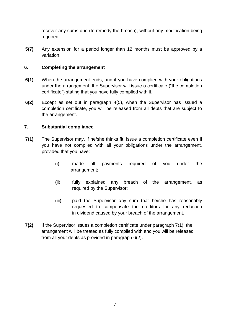recover any sums due (to remedy the breach), without any modification being required.

**5(7)** Any extension for a period longer than 12 months must be approved by a variation.

## **6. Completing the arrangement**

- **6(1)** When the arrangement ends, and if you have complied with your obligations under the arrangement, the Supervisor will issue a certificate ("the completion certificate") stating that you have fully complied with it.
- **6(2)** Except as set out in paragraph 4(5), when the Supervisor has issued a completion certificate, you will be released from all debts that are subject to the arrangement.

## **7. Substantial compliance**

- **7(1)** The Supervisor may, if he/she thinks fit, issue a completion certificate even if you have not complied with all your obligations under the arrangement, provided that you have:
	- (i) made all payments required of you under the arrangement;
	- (ii) fully explained any breach of the arrangement, as required by the Supervisor;
	- (iii) paid the Supervisor any sum that he/she has reasonably requested to compensate the creditors for any reduction in dividend caused by your breach of the arrangement.
- **7(2)** If the Supervisor issues a completion certificate under paragraph 7(1), the arrangement will be treated as fully complied with and you will be released from all your debts as provided in paragraph 6(2).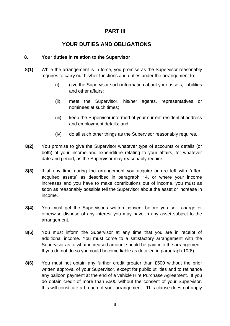# **PART III**

# **YOUR DUTIES AND OBLIGATIONS**

## **8. Your duties in relation to the Supervisor**

- **8(1)** While the arrangement is in force, you promise as the Supervisor reasonably requires to carry out his/her functions and duties under the arrangement to:
	- (i) give the Supervisor such information about your assets, liabilities and other affairs;
	- (ii) meet the Supervisor, his/her agents, representatives or nominees at such times;
	- (iii) keep the Supervisor informed of your current residential address and employment details; and
	- (iv) do all such other things as the Supervisor reasonably requires.
- **8(2)** You promise to give the Supervisor whatever type of accounts or details (or both) of your income and expenditure relating to your affairs, for whatever date and period, as the Supervisor may reasonably require.
- **8(3)** If at any time during the arrangement you acquire or are left with "afteracquired assets" as described in paragraph 14, or where your income increases and you have to make contributions out of income, you must as soon as reasonably possible tell the Supervisor about the asset or increase in income.
- **8(4)** You must get the Supervisor's written consent before you sell, charge or otherwise dispose of any interest you may have in any asset subject to the arrangement.
- **8(5)** You must inform the Supervisor at any time that you are in receipt of additional income. You must come to a satisfactory arrangement with the Supervisor as to what increased amount should be paid into the arrangement. If you do not do so you could become liable as detailed in paragraph 10(8).
- **8(6)** You must not obtain any further credit greater than £500 without the prior written approval of your Supervisor, except for public utilities and to refinance any balloon payment at the end of a vehicle Hire Purchase Agreement. If you do obtain credit of more than £500 without the consent of your Supervisor, this will constitute a breach of your arrangement. This clause does not apply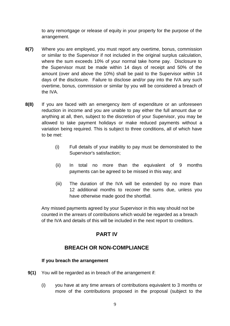to any remortgage or release of equity in your property for the purpose of the arrangement.

- **8(7)** Where you are employed, you must report any overtime, bonus, commission or similar to the Supervisor if not included in the original surplus calculation, where the sum exceeds 10% of your normal take home pay. Disclosure to the Supervisor must be made within 14 days of receipt and 50% of the amount (over and above the 10%) shall be paid to the Supervisor within 14 days of the disclosure. Failure to disclose and/or pay into the IVA any such overtime, bonus, commission or similar by you will be considered a breach of the IVA.
- **8(8)** If you are faced with an emergency item of expenditure or an unforeseen reduction in income and you are unable to pay either the full amount due or anything at all, then, subject to the discretion of your Supervisor, you may be allowed to take payment holidays or make reduced payments without a variation being required. This is subject to three conditions, all of which have to be met:
	- (i) Full details of your inability to pay must be demonstrated to the Supervisor's satisfaction;
	- (ii) In total no more than the equivalent of 9 months payments can be agreed to be missed in this way; and
	- (iii) The duration of the IVA will be extended by no more than 12 additional months to recover the sums due, unless you have otherwise made good the shortfall.

Any missed payments agreed by your Supervisor in this way should not be counted in the arrears of contributions which would be regarded as a breach of the IVA and details of this will be included in the next report to creditors.

# **PART IV**

# **BREACH OR NON-COMPLIANCE**

# **If you breach the arrangement**

- **9(1)** You will be regarded as in breach of the arrangement if:
	- (i) you have at any time arrears of contributions equivalent to 3 months or more of the contributions proposed in the proposal (subject to the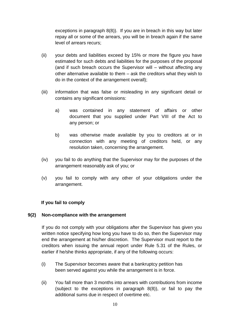exceptions in paragraph 8(8)). If you are in breach in this way but later repay all or some of the arrears, you will be in breach again if the same level of arrears recurs;

- (ii) your debts and liabilities exceed by 15% or more the figure you have estimated for such debts and liabilities for the purposes of the proposal (and if such breach occurs the Supervisor will – without affecting any other alternative available to them – ask the creditors what they wish to do in the context of the arrangement overall);
- (iii) information that was false or misleading in any significant detail or contains any significant omissions:
	- a) was contained in any statement of affairs or other document that you supplied under Part VIII of the Act to any person; or
	- b) was otherwise made available by you to creditors at or in connection with any meeting of creditors held, or any resolution taken, concerning the arrangement.
- (iv) you fail to do anything that the Supervisor may for the purposes of the arrangement reasonably ask of you; or
- (v) you fail to comply with any other of your obligations under the arrangement.

## **If you fail to comply**

## **9(2) Non-compliance with the arrangement**

If you do not comply with your obligations after the Supervisor has given you written notice specifying how long you have to do so, then the Supervisor may end the arrangement at his/her discretion. The Supervisor must report to the creditors when issuing the annual report under Rule 5.31 of the Rules, or earlier if he/she thinks appropriate, if any of the following occurs:

- (i) The Supervisor becomes aware that a bankruptcy petition has been served against you while the arrangement is in force.
- (ii) You fall more than 3 months into arrears with contributions from income (subject to the exceptions in paragraph 8(8)), or fail to pay the additional sums due in respect of overtime etc.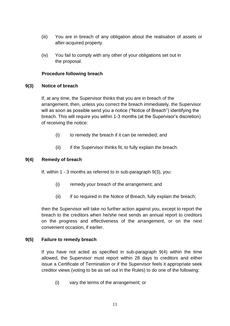- (iii) You are in breach of any obligation about the realisation of assets or after-acquired property.
- (iv) You fail to comply with any other of your obligations set out in the proposal.

## **Procedure following breach**

## **9(3) Notice of breach**

If, at any time, the Supervisor thinks that you are in breach of the arrangement, then, unless you correct the breach immediately, the Supervisor will as soon as possible send you a notice ("Notice of Breach") identifying the breach. This will require you within 1-3 months (at the Supervisor's discretion) of receiving the notice:

- (i) to remedy the breach if it can be remedied; and
- (ii) if the Supervisor thinks fit, to fully explain the breach.

## **9(4) Remedy of breach**

If, within 1 - 3 months as referred to in sub-paragraph 9(3), you:

- (i) remedy your breach of the arrangement; and
- (ii) if so required in the Notice of Breach, fully explain the breach;

then the Supervisor will take no further action against you, except to report the breach to the creditors when he/she next sends an annual report to creditors on the progress and effectiveness of the arrangement, or on the next convenient occasion, if earlier.

## **9(5) Failure to remedy breach**

If you have not acted as specified in sub-paragraph 9(4) within the time allowed, the Supervisor must report within 28 days to creditors and either issue a Certificate of Termination or if the Supervisor feels it appropriate seek creditor views (voting to be as set out in the Rules) to do one of the following:

(i) vary the terms of the arrangement; or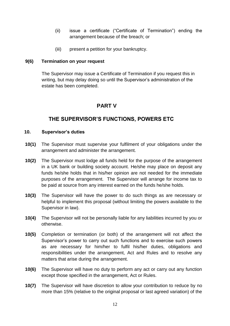- (ii) issue a certificate ("Certificate of Termination") ending the arrangement because of the breach; or
- (iii) present a petition for your bankruptcy.

## **9(6) Termination on your request**

The Supervisor may issue a Certificate of Termination if you request this in writing, but may delay doing so until the Supervisor's administration of the estate has been completed.

# **PART V**

# **THE SUPERVISOR'S FUNCTIONS, POWERS ETC**

## **10. Supervisor's duties**

- **10(1)** The Supervisor must supervise your fulfilment of your obligations under the arrangement and administer the arrangement.
- **10(2)** The Supervisor must lodge all funds held for the purpose of the arrangement in a UK bank or building society account. He/she may place on deposit any funds he/she holds that in his/her opinion are not needed for the immediate purposes of the arrangement. The Supervisor will arrange for income tax to be paid at source from any interest earned on the funds he/she holds.
- **10(3)** The Supervisor will have the power to do such things as are necessary or helpful to implement this proposal (without limiting the powers available to the Supervisor in law).
- **10(4)** The Supervisor will not be personally liable for any liabilities incurred by you or otherwise.
- **10(5)** Completion or termination (or both) of the arrangement will not affect the Supervisor's power to carry out such functions and to exercise such powers as are necessary for him/her to fulfil his/her duties, obligations and responsibilities under the arrangement, Act and Rules and to resolve any matters that arise during the arrangement.
- **10(6)** The Supervisor will have no duty to perform any act or carry out any function except those specified in the arrangement, Act or Rules.
- **10(7)** The Supervisor will have discretion to allow your contribution to reduce by no more than 15% (relative to the original proposal or last agreed variation) of the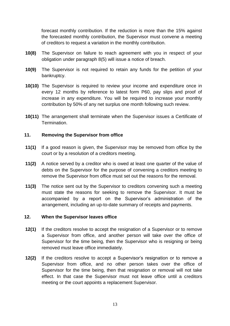forecast monthly contribution. If the reduction is more than the 15% against the forecasted monthly contribution, the Supervisor must convene a meeting of creditors to request a variation in the monthly contribution.

- **10(8)** The Supervisor on failure to reach agreement with you in respect of your obligation under paragraph 8(5) will issue a notice of breach.
- **10(9)** The Supervisor is not required to retain any funds for the petition of your bankruptcy.
- **10(10)** The Supervisor is required to review your income and expenditure once in every 12 months by reference to latest form P60, pay slips and proof of increase in any expenditure. You will be required to increase your monthly contribution by 50% of any net surplus one month following such review.
- **10(11)** The arrangement shall terminate when the Supervisor issues a Certificate of Termination.

## **11. Removing the Supervisor from office**

- **11(1)** If a good reason is given, the Supervisor may be removed from office by the court or by a resolution of a creditors meeting.
- **11(2)** A notice served by a creditor who is owed at least one quarter of the value of debts on the Supervisor for the purpose of convening a creditors meeting to remove the Supervisor from office must set out the reasons for the removal.
- **11(3)** The notice sent out by the Supervisor to creditors convening such a meeting must state the reasons for seeking to remove the Supervisor. It must be accompanied by a report on the Supervisor's administration of the arrangement, including an up-to-date summary of receipts and payments.

## **12. When the Supervisor leaves office**

- **12(1)** If the creditors resolve to accept the resignation of a Supervisor or to remove a Supervisor from office, and another person will take over the office of Supervisor for the time being, then the Supervisor who is resigning or being removed must leave office immediately.
- **12(2)** If the creditors resolve to accept a Supervisor's resignation or to remove a Supervisor from office, and no other person takes over the office of Supervisor for the time being, then that resignation or removal will not take effect. In that case the Supervisor must not leave office until a creditors meeting or the court appoints a replacement Supervisor.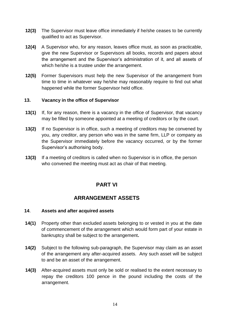- **12(3)** The Supervisor must leave office immediately if he/she ceases to be currently qualified to act as Supervisor.
- **12(4)** A Supervisor who, for any reason, leaves office must, as soon as practicable, give the new Supervisor or Supervisors all books, records and papers about the arrangement and the Supervisor's administration of it, and all assets of which he/she is a trustee under the arrangement.
- **12(5)** Former Supervisors must help the new Supervisor of the arrangement from time to time in whatever way he/she may reasonably require to find out what happened while the former Supervisor held office.

## **13. Vacancy in the office of Supervisor**

- **13(1)** If, for any reason, there is a vacancy in the office of Supervisor, that vacancy may be filled by someone appointed at a meeting of creditors or by the court.
- **13(2)** If no Supervisor is in office, such a meeting of creditors may be convened by you, any creditor, any person who was in the same firm, LLP or company as the Supervisor immediately before the vacancy occurred, or by the former Supervisor's authorising body.
- **13(3)** If a meeting of creditors is called when no Supervisor is in office, the person who convened the meeting must act as chair of that meeting.

# **PART VI**

# **ARRANGEMENT ASSETS**

## **14**. **Assets and after acquired assets**

- **14(1)** Property other than excluded assets belonging to or vested in you at the date of commencement of the arrangement which would form part of your estate in bankruptcy shall be subject to the arrangement**.**
- **14(2)** Subject to the following sub-paragraph, the Supervisor may claim as an asset of the arrangement any after-acquired assets. Any such asset will be subject to and be an asset of the arrangement.
- **14(3)** After-acquired assets must only be sold or realised to the extent necessary to repay the creditors 100 pence in the pound including the costs of the arrangement.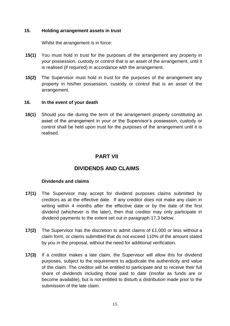## **15. Holding arrangement assets in trust**

Whilst the arrangement is in force:

- **15(1)** You must hold in trust for the purposes of the arrangement any property in your possession, custody or control that is an asset of the arrangement, until it is realised (if required) in accordance with the arrangement.
- **15(2)** The Supervisor must hold in trust for the purposes of the arrangement any property in his/her possession, custody or control that is an asset of the arrangement.

## **16. In the event of your death**

**16(1)** Should you die during the term of the arrangement property constituting an asset of the arrangement in your or the Supervisor's possession, custody or control shall be held upon trust for the purposes of the arrangement until it is realised.

# **PART VII**

# **DIVIDENDS AND CLAIMS**

## **Dividends and claims**

- **17(1)** The Supervisor may accept for dividend purposes claims submitted by creditors as at the effective date. If any creditor does not make any claim in writing within 4 months after the effective date or by the date of the first dividend (whichever is the later), then that creditor may only participate in dividend payments to the extent set out in paragraph 17.3 below.
- **17(2)** The Supervisor has the discretion to admit claims of £1,000 or less without a claim form, or claims submitted that do not exceed 110% of the amount stated by you in the proposal, without the need for additional verification.
- **17(3)** If a creditor makes a late claim, the Supervisor will allow this for dividend purposes, subject to the requirement to adjudicate the authenticity and value of the claim. The creditor will be entitled to participate and to receive their full share of dividends including those paid to date (insofar as funds are or become available), but is not entitled to disturb a distribution made prior to the submission of the late claim.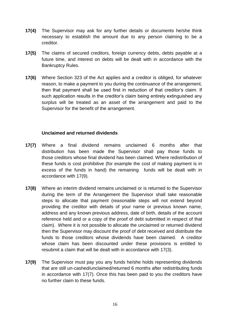- **17(4)** The Supervisor may ask for any further details or documents he/she think necessary to establish the amount due to any person claiming to be a creditor.
- **17(5)** The claims of secured creditors, foreign currency debts, debts payable at a future time, and interest on debts will be dealt with in accordance with the Bankruptcy Rules.
- **17(6)** Where Section 323 of the Act applies and a creditor is obliged, for whatever reason, to make a payment to you during the continuance of the arrangement, then that payment shall be used first in reduction of that creditor's claim. If such application results in the creditor's claim being entirely extinguished any surplus will be treated as an asset of the arrangement and paid to the Supervisor for the benefit of the arrangement.

## **Unclaimed and returned dividends**

- **17(7)** Where a final dividend remains unclaimed 6 months after that distribution has been made the Supervisor shall pay those funds to those creditors whose final dividend has been claimed. Where redistribution of these funds is cost prohibitive (for example the cost of making payment is in excess of the funds in hand) the remaining funds will be dealt with in accordance with 17(9).
- **17(8)** Where an interim dividend remains unclaimed or is returned to the Supervisor during the term of the Arrangement the Supervisor shall take reasonable steps to allocate that payment (reasonable steps will not extend beyond providing the creditor with details of your name or previous known name, address and any known previous address, date of birth, details of the account reference held and or a copy of the proof of debt submitted in respect of that claim). Where it is not possible to allocate the unclaimed or returned dividend then the Supervisor may discount the proof of debt received and distribute the funds to those creditors whose dividends have been claimed. A creditor whose claim has been discounted under these provisions is entitled to resubmit a claim that will be dealt with in accordance with 17(3).
- **17(9)** The Supervisor must pay you any funds he/she holds representing dividends that are still un-cashed/unclaimed/returned 6 months after redistributing funds in accordance with 17(7). Once this has been paid to you the creditors have no further claim to these funds.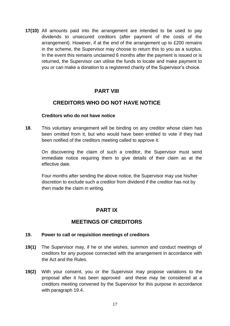**17(10)** All amounts paid into the arrangement are intended to be used to pay dividends to unsecured creditors (after payment of the costs of the arrangement). However, if at the end of the arrangement up to £200 remains in the scheme, the Supervisor may choose to return this to you as a surplus. In the event this remains unclaimed 6 months after the payment is issued or is returned, the Supervisor can utilise the funds to locate and make payment to you or can make a donation to a registered charity of the Supervisor's choice.

# **PART VIII**

# **CREDITORS WHO DO NOT HAVE NOTICE**

## **Creditors who do not have notice**

**18**. This voluntary arrangement will be binding on any creditor whose claim has been omitted from it, but who would have been entitled to vote if they had been notified of the creditors meeting called to approve it.

On discovering the claim of such a creditor, the Supervisor must send immediate notice requiring them to give details of their claim as at the effective date.

Four months after sending the above notice, the Supervisor may use his/her discretion to exclude such a creditor from dividend if the creditor has not by then made the claim in writing.

# **PART IX**

# **MEETINGS OF CREDITORS**

## **19. Power to call or requisition meetings of creditors**

- **19(1)** The Supervisor may, if he or she wishes, summon and conduct meetings of creditors for any purpose connected with the arrangement in accordance with the Act and the Rules.
- **19(2)** With your consent, you or the Supervisor may propose variations to the proposal after it has been approved and these may be considered at a creditors meeting convened by the Supervisor for this purpose in accordance with paragraph 19.4.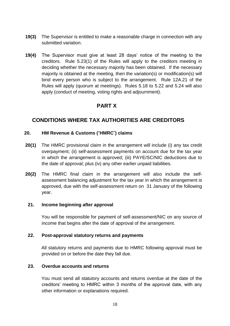- **19(3)** The Supervisor is entitled to make a reasonable charge in connection with any submitted variation.
- **19(4)** The Supervisor must give at least 28 days' notice of the meeting to the creditors. Rule 5.23(1) of the Rules will apply to the creditors meeting in deciding whether the necessary majority has been obtained. If the necessary majority is obtained at the meeting, then the variation(s) or modification(s) will bind every person who is subject to the arrangement. Rule 12A.21 of the Rules will apply (quorum at meetings). Rules 5.18 to 5.22 and 5.24 will also apply (conduct of meeting, voting rights and adjournment).

# **PART X**

# **CONDITIONS WHERE TAX AUTHORITIES ARE CREDITORS**

## **20. HM Revenue & Customs (**"**HMRC**"**) claims**

- **20(1)** The HMRC provisional claim in the arrangement will include (i) any tax credit overpayment; (ii) self-assessment payments on account due for the tax year in which the arrangement is approved; (iii) PAYE/SC/NIC deductions due to the date of approval; plus (iv) any other earlier unpaid liabilities.
- **20(2)** The HMRC final claim in the arrangement will also include the selfassessment balancing adjustment for the tax year in which the arrangement is approved, due with the self-assessment return on 31 January of the following year.

## **21. Income beginning after approval**

You will be responsible for payment of self-assessment/NIC on any source of income that begins after the date of approval of the arrangement.

## **22. Post-approval statutory returns and payments**

All statutory returns and payments due to HMRC following approval must be provided on or before the date they fall due.

## **23. Overdue accounts and returns**

You must send all statutory accounts and returns overdue at the date of the creditors' meeting to HMRC within 3 months of the approval date, with any other information or explanations required.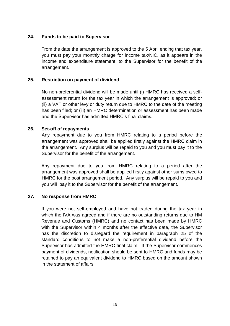## **24. Funds to be paid to Supervisor**

From the date the arrangement is approved to the 5 April ending that tax year, you must pay your monthly charge for income tax/NIC, as it appears in the income and expenditure statement, to the Supervisor for the benefit of the arrangement.

## **25. Restriction on payment of dividend**

No non-preferential dividend will be made until (i) HMRC has received a selfassessment return for the tax year in which the arrangement is approved; or (ii) a VAT or other levy or duty return due to HMRC to the date of the meeting has been filed; or (iii) an HMRC determination or assessment has been made and the Supervisor has admitted HMRC's final claims.

## **26. Set-off of repayments**

Any repayment due to you from HMRC relating to a period before the arrangement was approved shall be applied firstly against the HMRC claim in the arrangement. Any surplus will be repaid to you and you must pay it to the Supervisor for the benefit of the arrangement.

Any repayment due to you from HMRC relating to a period after the arrangement was approved shall be applied firstly against other sums owed to HMRC for the post arrangement period. Any surplus will be repaid to you and you will pay it to the Supervisor for the benefit of the arrangement.

## **27. No response from HMRC**

If you were not self-employed and have not traded during the tax year in which the IVA was agreed and if there are no outstanding returns due to HM Revenue and Customs (HMRC) and no contact has been made by HMRC with the Supervisor within 4 months after the effective date, the Supervisor has the discretion to disregard the requirement in paragraph 25 of the standard conditions to not make a non-preferential dividend before the Supervisor has admitted the HMRC final claim. If the Supervisor commences payment of dividends, notification should be sent to HMRC and funds may be retained to pay an equivalent dividend to HMRC based on the amount shown in the statement of affairs.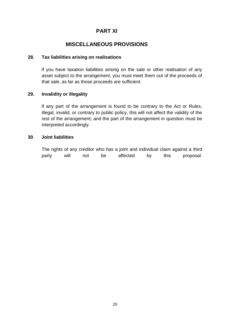# **PART XI**

# **MISCELLANEOUS PROVISIONS**

## **28. Tax liabilities arising on realisations**

If you have taxation liabilities arising on the sale or other realisation of any asset subject to the arrangement, you must meet them out of the proceeds of that sale, as far as those proceeds are sufficient.

## **29. Invalidity or illegality**

If any part of the arrangement is found to be contrary to the Act or Rules, illegal, invalid, or contrary to public policy, this will not affect the validity of the rest of the arrangement; and the part of the arrangement in question must be interpreted accordingly.

## **30**. **Joint liabilities**

The rights of any creditor who has a joint and individual claim against a third party will not be affected by this proposal.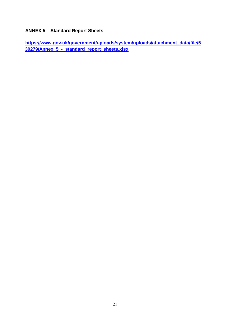# **ANNEX 5 – Standard Report Sheets**

**[https://www.gov.uk/government/uploads/system/uploads/attachment\\_data/file/5](https://www.gov.uk/government/uploads/system/uploads/attachment_data/file/530279/Annex_5_-_standard_report_sheets.xlsx) [30279/Annex\\_5\\_-\\_standard\\_report\\_sheets.xlsx](https://www.gov.uk/government/uploads/system/uploads/attachment_data/file/530279/Annex_5_-_standard_report_sheets.xlsx)**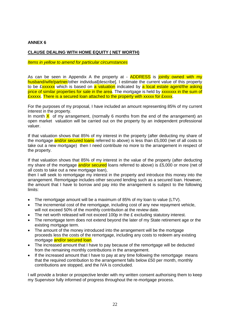#### **ANNEX 6**

### **CLAUSE DEALING WITH HOME EQUITY ( NET WORTH)**

#### *Items in yellow to amend for particular circumstances*

As can be seen in Appendix A the property at -  $\triangle$ ADDRESS is jointly owned with my husband/wife/partner/other individual[describe]. I estimate the current value of this property to be £xxxxxx which is based on a valuation indicated by a local estate agent/the asking price of similar properties for sale in the area. The mortgage is held by **xxxxxxx** in the sum of £xxxxx. There is a secured loan attached to the property with xxxxx for £xxxx.

For the purposes of my proposal, I have included an amount representing 85% of my current interest in the property.

In month  $\bar{X}$  of my arrangement, (normally 6 months from the end of the arrangement) an open market valuation will be carried out on the property by an independent professional valuer.

If that valuation shows that 85% of my interest in the property (after deducting my share of the mortgage and/or secured loans referred to above) is less than £5,000 (net of all costs to take out a new mortgage) then I need contribute no more to the arrangement in respect of the property.

If that valuation shows that 85% of my interest in the value of the property (after deducting my share of the mortgage and/or secured loans referred to above) is £5,000 or more (net of all costs to take out a new mortgage loan),

then I will seek to remortgage my interest in the property and introduce this money into the arrangement. Remortgage includes other secured lending such as a secured loan. However, the amount that I have to borrow and pay into the arrangement is subject to the following limits:

- The remortgage amount will be a maximum of 85% of my loan to value (LTV).
- The incremental cost of the remortgage, including cost of any new repayment vehicle, will not exceed 50% of the monthly contribution at the review date.
- The net worth released will not exceed 100p in the £ excluding statutory interest.
- The remortgage term does not extend beyond the later of my State retirement age or the existing mortgage term.
- The amount of the money introduced into the arrangement will be the mortgage proceeds less the costs of the remortgage, including any costs to redeem any existing mortgage and/or secured loan.
- The increased amount that I have to pay because of the remortgage will be deducted from the remaining monthly contributions in the arrangement.
- If the increased amount that I have to pay at any time following the remortgage means that the required contribution to the arrangement falls below £50 per month, monthly contributions are stopped, and the IVA is concluded.

I will provide a broker or prospective lender with my written consent authorising them to keep my Supervisor fully informed of progress throughout the re-mortgage process.